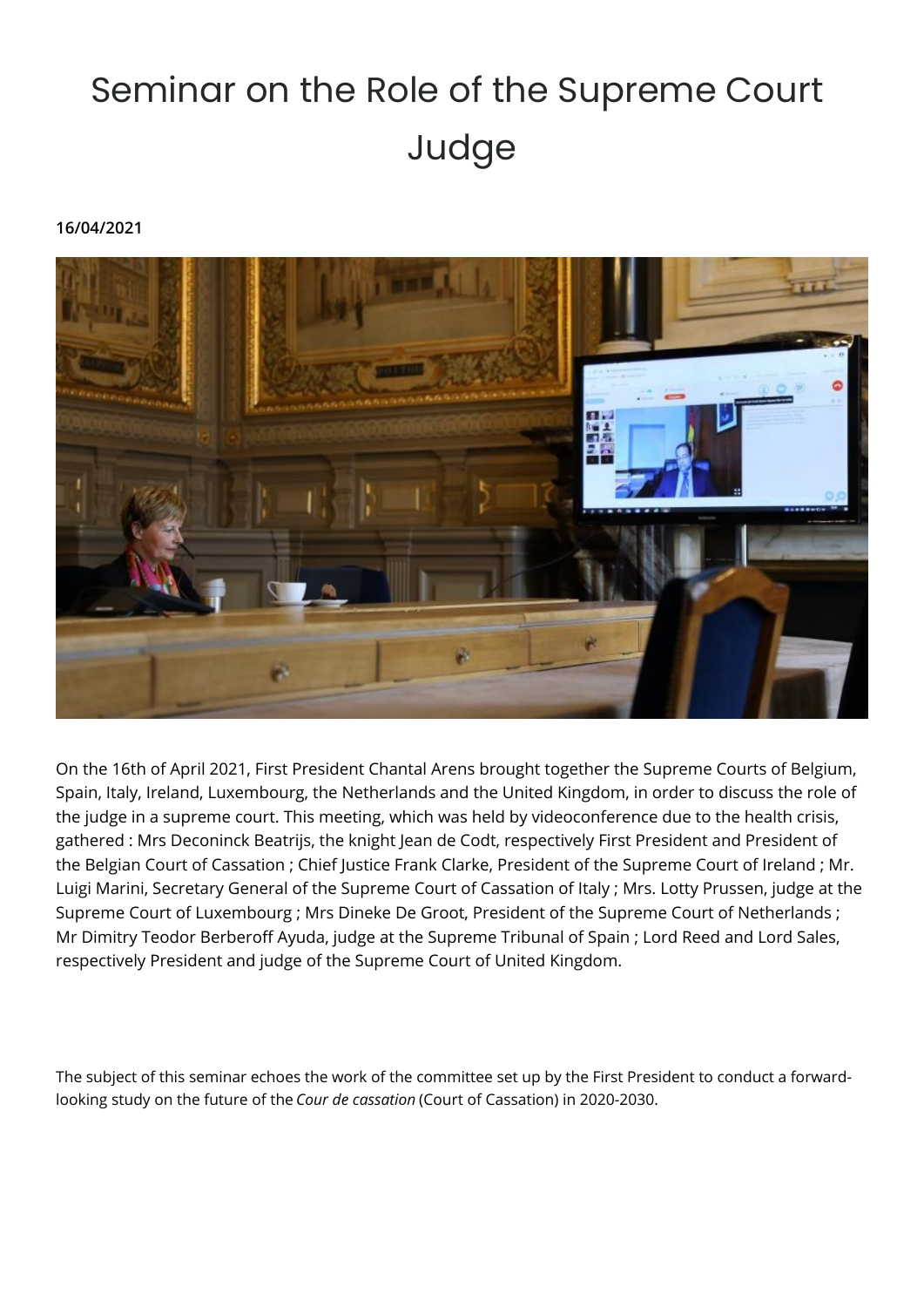## Seminar on the Role of the Supreme Court Judge

## **16/04/2021**



On the 16th of April 2021, First President Chantal Arens brought together the Supreme Courts of Belgium, Spain, Italy, Ireland, Luxembourg, the Netherlands and the United Kingdom, in order to discuss the role of the judge in a supreme court. This meeting, which was held by videoconference due to the health crisis, gathered : Mrs Deconinck Beatrijs, the knight Jean de Codt, respectively First President and President of the Belgian Court of Cassation ; Chief Justice Frank Clarke, President of the Supreme Court of Ireland ; Mr. Luigi Marini, Secretary General of the Supreme Court of Cassation of Italy ; Mrs. Lotty Prussen, judge at the Supreme Court of Luxembourg ; Mrs Dineke De Groot, President of the Supreme Court of Netherlands ; Mr Dimitry Teodor Berberoff Ayuda, judge at the Supreme Tribunal of Spain ; Lord Reed and Lord Sales, respectively President and judge of the Supreme Court of United Kingdom.

The subject of this seminar echoes the work of the committee set up by the First President to conduct a forwardlooking study on the future of the *Cour de cassation* (Court of Cassation) in 2020-2030.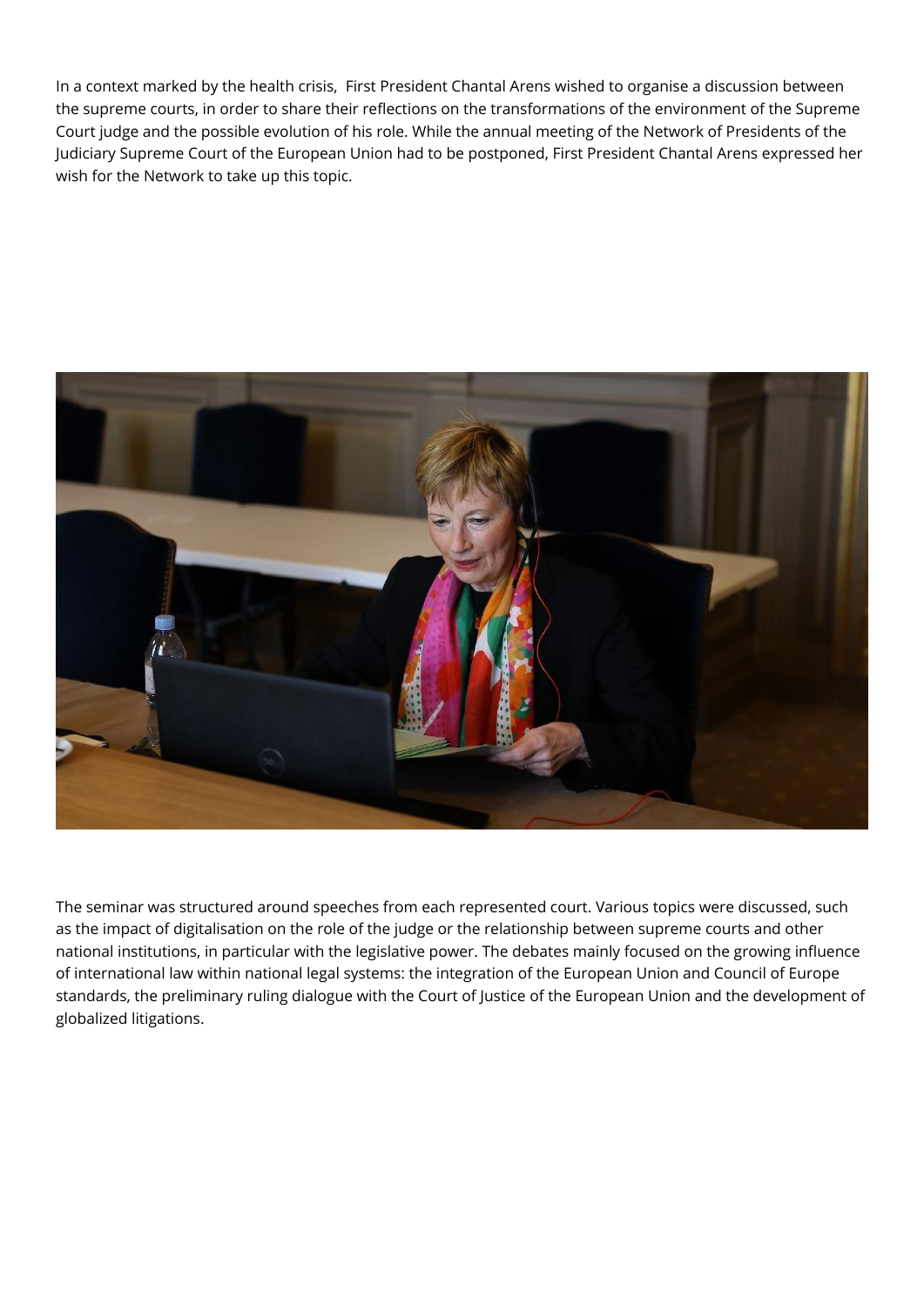In a context marked by the health crisis, First President Chantal Arens wished to organise a discussion between the supreme courts, in order to share their reflections on the transformations of the environment of the Supreme Court judge and the possible evolution of his role. While the annual meeting of the Network of Presidents of the Judiciary Supreme Court of the European Union had to be postponed, First President Chantal Arens expressed her wish for the Network to take up this topic.



The seminar was structured around speeches from each represented court. Various topics were discussed, such as the impact of digitalisation on the role of the judge or the relationship between supreme courts and other national institutions, in particular with the legislative power. The debates mainly focused on the growing influence of international law within national legal systems: the integration of the European Union and Council of Europe standards, the preliminary ruling dialogue with the Court of Justice of the European Union and the development of globalized litigations.